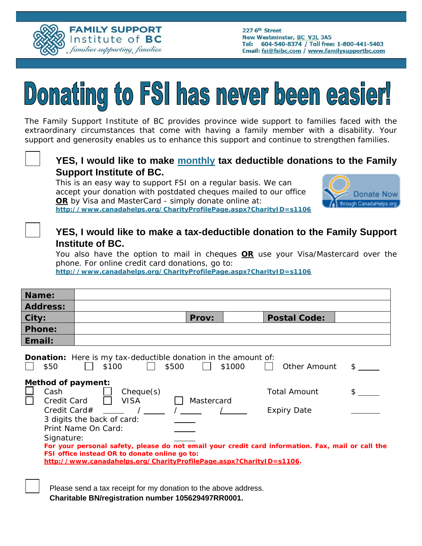

# Donating to FSI has never been easier!

The Family Support Institute of BC provides province wide support to families faced with the extraordinary circumstances that come with having a family member with a disability. Your support and generosity enables us to enhance this support and continue to strengthen families.



#### **YES, I would like to make monthly tax deductible donations to the Family Support Institute of BC.**

This is an easy way to support FSI on a regular basis. We can accept your donation with postdated cheques mailed to our office **OR** by Visa and MasterCard - simply donate online at: **http://www.canadahelps.org/CharityProfilePage.aspx?CharityID=s1106** 



#### **YES, I would like to make a tax-deductible donation to the Family Support Institute of BC.**

You also have the option to mail in cheques **OR** use your Visa/Mastercard over the phone. For online credit card donations, go to:

**http://www.canadahelps.org/CharityProfilePage.aspx?CharityID=s1106**

| Name:                                                                                                                           |                                                                                                                                                                                                                                                                                                            |            |                                           |  |
|---------------------------------------------------------------------------------------------------------------------------------|------------------------------------------------------------------------------------------------------------------------------------------------------------------------------------------------------------------------------------------------------------------------------------------------------------|------------|-------------------------------------------|--|
| <b>Address:</b>                                                                                                                 |                                                                                                                                                                                                                                                                                                            |            |                                           |  |
| City:                                                                                                                           |                                                                                                                                                                                                                                                                                                            | Prov:      | <b>Postal Code:</b>                       |  |
| <b>Phone:</b>                                                                                                                   |                                                                                                                                                                                                                                                                                                            |            |                                           |  |
| Email:                                                                                                                          |                                                                                                                                                                                                                                                                                                            |            |                                           |  |
| <b>Donation:</b> Here is my tax-deductible donation in the amount of:<br>\$500<br>\$50<br>\$100<br>\$1000<br>Other Amount<br>S. |                                                                                                                                                                                                                                                                                                            |            |                                           |  |
| <b>Method of payment:</b><br>Cash<br>Credit Card<br>Credit Card#<br>Signature:                                                  | Cheque(s)<br><b>VISA</b><br>3 digits the back of card:<br>Print Name On Card:<br>For your personal safety, please do not email your credit card information. Fax, mail or call the<br>FSI office instead OR to donate online go to:<br>http://www.canadahelps.org/CharityProfilePage.aspx?CharityID=s1106. | Mastercard | <b>Total Amount</b><br><b>Expiry Date</b> |  |
|                                                                                                                                 |                                                                                                                                                                                                                                                                                                            |            |                                           |  |

Please send a tax receipt for my donation to the above address. **Charitable BN/registration number 105629497RR0001.**